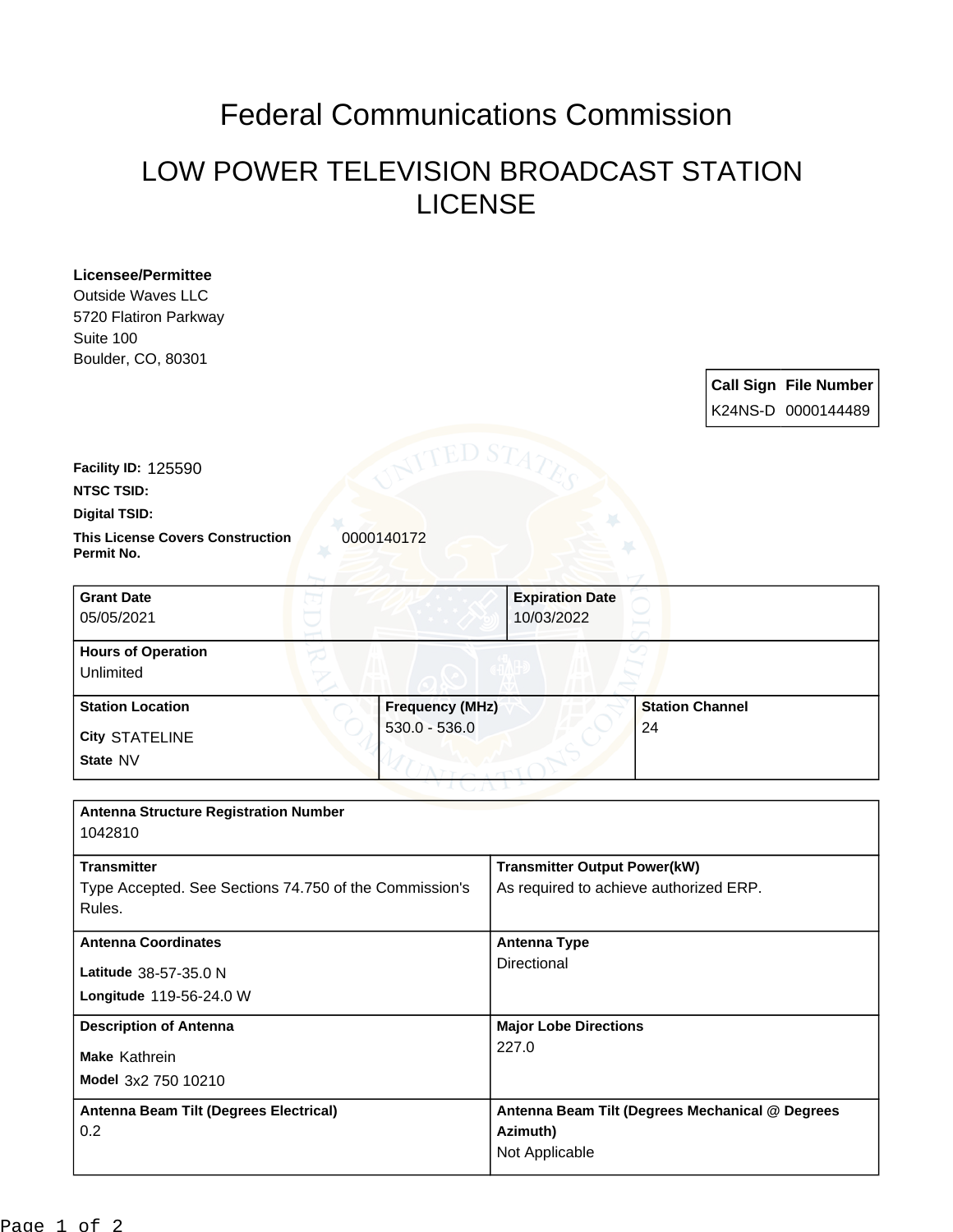## Federal Communications Commission

## LOW POWER TELEVISION BROADCAST STATION LICENSE

| <b>Licensee/Permittee</b><br><b>Outside Waves LLC</b><br>5720 Flatiron Parkway<br>Suite 100<br>Boulder, CO, 80301 |                        |                                                                               |                        | <b>Call Sign File Number</b><br>K24NS-D 0000144489 |
|-------------------------------------------------------------------------------------------------------------------|------------------------|-------------------------------------------------------------------------------|------------------------|----------------------------------------------------|
| Facility ID: 125590<br><b>NTSC TSID:</b>                                                                          |                        |                                                                               |                        |                                                    |
| <b>Digital TSID:</b>                                                                                              |                        |                                                                               |                        |                                                    |
| <b>This License Covers Construction</b><br>0000140172<br>Permit No.                                               |                        |                                                                               |                        |                                                    |
| <b>Grant Date</b><br>05/05/2021                                                                                   |                        | <b>Expiration Date</b><br>10/03/2022                                          |                        |                                                    |
| <b>Hours of Operation</b><br>Unlimited                                                                            |                        |                                                                               |                        |                                                    |
| <b>Station Location</b>                                                                                           | <b>Frequency (MHz)</b> |                                                                               | <b>Station Channel</b> |                                                    |
| <b>City STATELINE</b>                                                                                             | $530.0 - 536.0$        |                                                                               | 24                     |                                                    |
| State NV                                                                                                          |                        |                                                                               |                        |                                                    |
| <b>Antenna Structure Registration Number</b><br>1042810                                                           |                        |                                                                               |                        |                                                    |
| <b>Transmitter</b><br>Type Accepted. See Sections 74.750 of the Commission's<br>Rules.                            |                        | <b>Transmitter Output Power(kW)</b><br>As required to achieve authorized ERP. |                        |                                                    |
| <b>Antenna Coordinates</b>                                                                                        |                        | <b>Antenna Type</b>                                                           |                        |                                                    |
| Latitude 38-57-35.0 N                                                                                             |                        | Directional                                                                   |                        |                                                    |
| Longitude 119-56-24.0 W                                                                                           |                        |                                                                               |                        |                                                    |
| <b>Description of Antenna</b>                                                                                     |                        | <b>Major Lobe Directions</b>                                                  |                        |                                                    |
| Make Kathrein                                                                                                     |                        | 227.0                                                                         |                        |                                                    |
| Model 3x2 750 10210                                                                                               |                        |                                                                               |                        |                                                    |
| Antenna Beam Tilt (Degrees Electrical)                                                                            |                        | Antenna Beam Tilt (Degrees Mechanical @ Degrees                               |                        |                                                    |
| 0.2                                                                                                               |                        | Azimuth)                                                                      |                        |                                                    |
|                                                                                                                   |                        | Not Applicable                                                                |                        |                                                    |